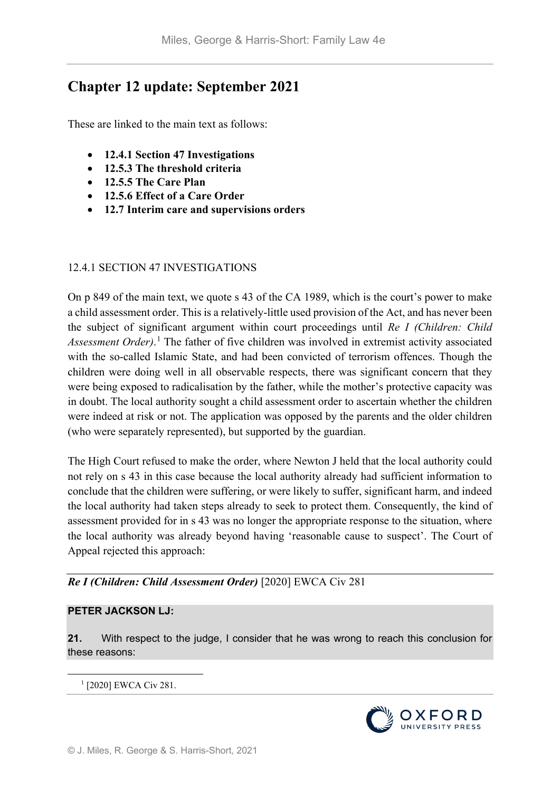# **Chapter 12 update: September 2021**

These are linked to the main text as follows:

- **12.4.1 Section 47 Investigations**
- **12.5.3 The threshold criteria**
- **12.5.5 The Care Plan**
- **12.5.6 Effect of a Care Order**
- **12.7 Interim care and supervisions orders**

### 12.4.1 SECTION 47 INVESTIGATIONS

On p 849 of the main text, we quote s 43 of the CA 1989, which is the court's power to make a child assessment order. This is a relatively-little used provision of the Act, and has never been the subject of significant argument within court proceedings until *Re I (Children: Child Assessment Order)*. [1](#page-0-0) The father of five children was involved in extremist activity associated with the so-called Islamic State, and had been convicted of terrorism offences. Though the children were doing well in all observable respects, there was significant concern that they were being exposed to radicalisation by the father, while the mother's protective capacity was in doubt. The local authority sought a child assessment order to ascertain whether the children were indeed at risk or not. The application was opposed by the parents and the older children (who were separately represented), but supported by the guardian.

The High Court refused to make the order, where Newton J held that the local authority could not rely on s 43 in this case because the local authority already had sufficient information to conclude that the children were suffering, or were likely to suffer, significant harm, and indeed the local authority had taken steps already to seek to protect them. Consequently, the kind of assessment provided for in s 43 was no longer the appropriate response to the situation, where the local authority was already beyond having 'reasonable cause to suspect'. The Court of Appeal rejected this approach:

# *Re I (Children: Child Assessment Order)* [2020] EWCA Civ 281

#### **PETER JACKSON LJ:**

**21.** With respect to the judge, I consider that he was wrong to reach this conclusion for these reasons:

<span id="page-0-0"></span>1 [2020] EWCA Civ 281.

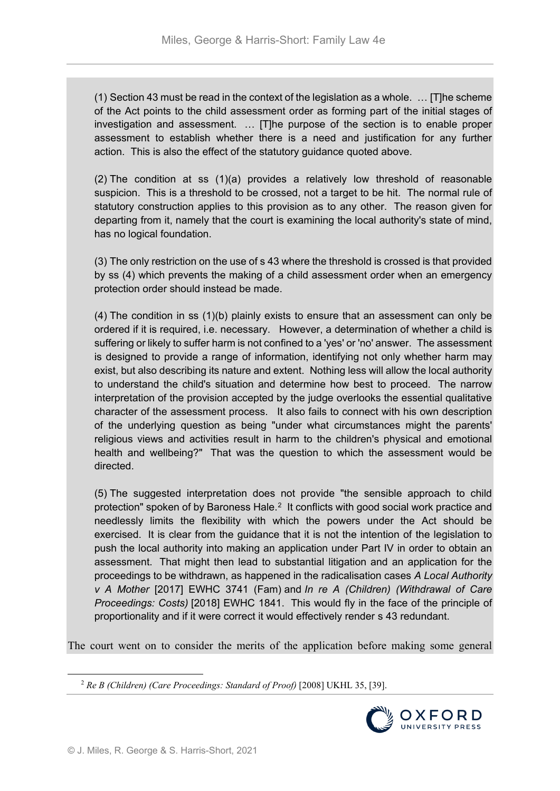(1) Section 43 must be read in the context of the legislation as a whole. … [T]he scheme of the Act points to the child assessment order as forming part of the initial stages of investigation and assessment. … [T]he purpose of the section is to enable proper assessment to establish whether there is a need and justification for any further action. This is also the effect of the statutory guidance quoted above.

(2) The condition at ss (1)(a) provides a relatively low threshold of reasonable suspicion. This is a threshold to be crossed, not a target to be hit. The normal rule of statutory construction applies to this provision as to any other. The reason given for departing from it, namely that the court is examining the local authority's state of mind, has no logical foundation.

(3) The only restriction on the use of s 43 where the threshold is crossed is that provided by ss (4) which prevents the making of a child assessment order when an emergency protection order should instead be made.

(4) The condition in ss (1)(b) plainly exists to ensure that an assessment can only be ordered if it is required, i.e. necessary. However, a determination of whether a child is suffering or likely to suffer harm is not confined to a 'yes' or 'no' answer. The assessment is designed to provide a range of information, identifying not only whether harm may exist, but also describing its nature and extent. Nothing less will allow the local authority to understand the child's situation and determine how best to proceed. The narrow interpretation of the provision accepted by the judge overlooks the essential qualitative character of the assessment process. It also fails to connect with his own description of the underlying question as being "under what circumstances might the parents' religious views and activities result in harm to the children's physical and emotional health and wellbeing?" That was the question to which the assessment would be directed.

(5) The suggested interpretation does not provide "the sensible approach to child protection" spoken of by Baroness Hale.<sup>[2](#page-1-0)</sup> It conflicts with good social work practice and needlessly limits the flexibility with which the powers under the Act should be exercised. It is clear from the guidance that it is not the intention of the legislation to push the local authority into making an application under Part IV in order to obtain an assessment. That might then lead to substantial litigation and an application for the proceedings to be withdrawn, as happened in the radicalisation cases *A Local Authority v A Mother* [2017] EWHC 3741 (Fam) and *In re A (Children) (Withdrawal of Care Proceedings: Costs)* [2018] EWHC 1841. This would fly in the face of the principle of proportionality and if it were correct it would effectively render s 43 redundant.

<span id="page-1-0"></span>The court went on to consider the merits of the application before making some general

 <sup>2</sup> *Re B (Children) (Care Proceedings: Standard of Proof)* [2008] UKHL 35, [39].

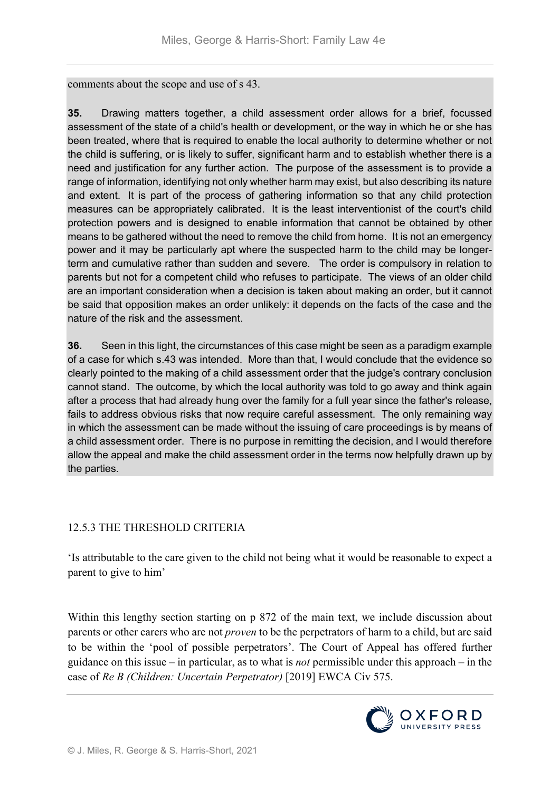comments about the scope and use of s 43.

**35.** Drawing matters together, a child assessment order allows for a brief, focussed assessment of the state of a child's health or development, or the way in which he or she has been treated, where that is required to enable the local authority to determine whether or not the child is suffering, or is likely to suffer, significant harm and to establish whether there is a need and justification for any further action. The purpose of the assessment is to provide a range of information, identifying not only whether harm may exist, but also describing its nature and extent. It is part of the process of gathering information so that any child protection measures can be appropriately calibrated. It is the least interventionist of the court's child protection powers and is designed to enable information that cannot be obtained by other means to be gathered without the need to remove the child from home. It is not an emergency power and it may be particularly apt where the suspected harm to the child may be longerterm and cumulative rather than sudden and severe. The order is compulsory in relation to parents but not for a competent child who refuses to participate. The views of an older child are an important consideration when a decision is taken about making an order, but it cannot be said that opposition makes an order unlikely: it depends on the facts of the case and the nature of the risk and the assessment.

**36.** Seen in this light, the circumstances of this case might be seen as a paradigm example of a case for which s.43 was intended. More than that, I would conclude that the evidence so clearly pointed to the making of a child assessment order that the judge's contrary conclusion cannot stand. The outcome, by which the local authority was told to go away and think again after a process that had already hung over the family for a full year since the father's release, fails to address obvious risks that now require careful assessment. The only remaining way in which the assessment can be made without the issuing of care proceedings is by means of a child assessment order. There is no purpose in remitting the decision, and I would therefore allow the appeal and make the child assessment order in the terms now helpfully drawn up by the parties.

### 12.5.3 THE THRESHOLD CRITERIA

'Is attributable to the care given to the child not being what it would be reasonable to expect a parent to give to him'

Within this lengthy section starting on p 872 of the main text, we include discussion about parents or other carers who are not *proven* to be the perpetrators of harm to a child, but are said to be within the 'pool of possible perpetrators'. The Court of Appeal has offered further guidance on this issue – in particular, as to what is *not* permissible under this approach – in the case of *Re B (Children: Uncertain Perpetrator)* [2019] EWCA Civ 575.

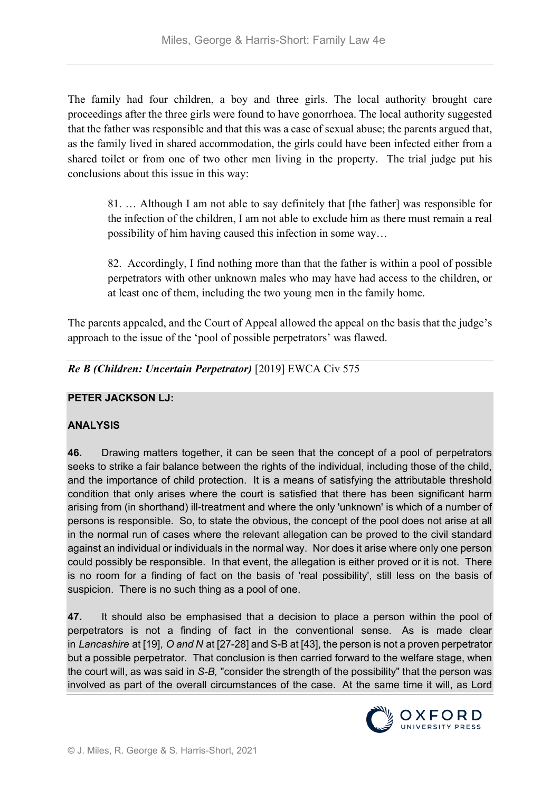The family had four children, a boy and three girls. The local authority brought care proceedings after the three girls were found to have gonorrhoea. The local authority suggested that the father was responsible and that this was a case of sexual abuse; the parents argued that, as the family lived in shared accommodation, the girls could have been infected either from a shared toilet or from one of two other men living in the property. The trial judge put his conclusions about this issue in this way:

81. … Although I am not able to say definitely that [the father] was responsible for the infection of the children, I am not able to exclude him as there must remain a real possibility of him having caused this infection in some way…

82. Accordingly, I find nothing more than that the father is within a pool of possible perpetrators with other unknown males who may have had access to the children, or at least one of them, including the two young men in the family home.

The parents appealed, and the Court of Appeal allowed the appeal on the basis that the judge's approach to the issue of the 'pool of possible perpetrators' was flawed.

*Re B (Children: Uncertain Perpetrator)* [2019] EWCA Civ 575

# **PETER JACKSON LJ:**

# **ANALYSIS**

**46.** Drawing matters together, it can be seen that the concept of a pool of perpetrators seeks to strike a fair balance between the rights of the individual, including those of the child, and the importance of child protection. It is a means of satisfying the attributable threshold condition that only arises where the court is satisfied that there has been significant harm arising from (in shorthand) ill-treatment and where the only 'unknown' is which of a number of persons is responsible. So, to state the obvious, the concept of the pool does not arise at all in the normal run of cases where the relevant allegation can be proved to the civil standard against an individual or individuals in the normal way. Nor does it arise where only one person could possibly be responsible. In that event, the allegation is either proved or it is not. There is no room for a finding of fact on the basis of 'real possibility', still less on the basis of suspicion. There is no such thing as a pool of one.

**47.** It should also be emphasised that a decision to place a person within the pool of perpetrators is not a finding of fact in the conventional sense. As is made clear in *Lancashire* at [19], *O and N* at [27-28] and S-B at [43], the person is not a proven perpetrator but a possible perpetrator. That conclusion is then carried forward to the welfare stage, when the court will, as was said in *S-B,* "consider the strength of the possibility" that the person was involved as part of the overall circumstances of the case. At the same time it will, as Lord

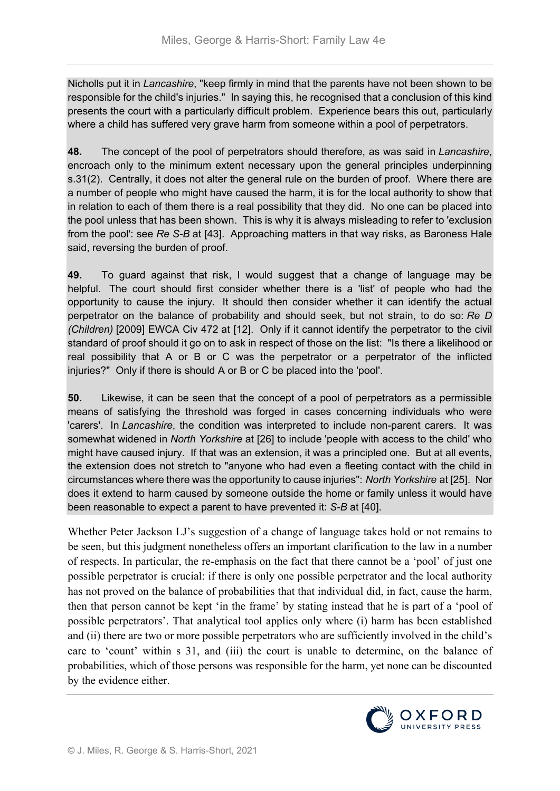Nicholls put it in *Lancashire*, "keep firmly in mind that the parents have not been shown to be responsible for the child's injuries." In saying this, he recognised that a conclusion of this kind presents the court with a particularly difficult problem. Experience bears this out, particularly where a child has suffered very grave harm from someone within a pool of perpetrators.

**48.** The concept of the pool of perpetrators should therefore, as was said in *Lancashire*, encroach only to the minimum extent necessary upon the general principles underpinning s.31(2). Centrally, it does not alter the general rule on the burden of proof. Where there are a number of people who might have caused the harm, it is for the local authority to show that in relation to each of them there is a real possibility that they did. No one can be placed into the pool unless that has been shown. This is why it is always misleading to refer to 'exclusion from the pool': see *Re S-B* at [43]. Approaching matters in that way risks, as Baroness Hale said, reversing the burden of proof.

**49.** To guard against that risk, I would suggest that a change of language may be helpful. The court should first consider whether there is a 'list' of people who had the opportunity to cause the injury. It should then consider whether it can identify the actual perpetrator on the balance of probability and should seek, but not strain, to do so: *Re D (Children)* [2009] EWCA Civ 472 at [12]. Only if it cannot identify the perpetrator to the civil standard of proof should it go on to ask in respect of those on the list: "Is there a likelihood or real possibility that A or B or C was the perpetrator or a perpetrator of the inflicted injuries?" Only if there is should A or B or C be placed into the 'pool'.

**50.** Likewise, it can be seen that the concept of a pool of perpetrators as a permissible means of satisfying the threshold was forged in cases concerning individuals who were 'carers'. In *Lancashire*, the condition was interpreted to include non-parent carers. It was somewhat widened in *North Yorkshire* at [26] to include 'people with access to the child' who might have caused injury. If that was an extension, it was a principled one. But at all events, the extension does not stretch to "anyone who had even a fleeting contact with the child in circumstances where there was the opportunity to cause injuries": *North Yorkshire* at [25]. Nor does it extend to harm caused by someone outside the home or family unless it would have been reasonable to expect a parent to have prevented it: *S-B* at [40].

Whether Peter Jackson LJ's suggestion of a change of language takes hold or not remains to be seen, but this judgment nonetheless offers an important clarification to the law in a number of respects. In particular, the re-emphasis on the fact that there cannot be a 'pool' of just one possible perpetrator is crucial: if there is only one possible perpetrator and the local authority has not proved on the balance of probabilities that that individual did, in fact, cause the harm, then that person cannot be kept 'in the frame' by stating instead that he is part of a 'pool of possible perpetrators'. That analytical tool applies only where (i) harm has been established and (ii) there are two or more possible perpetrators who are sufficiently involved in the child's care to 'count' within s 31, and (iii) the court is unable to determine, on the balance of probabilities, which of those persons was responsible for the harm, yet none can be discounted by the evidence either.

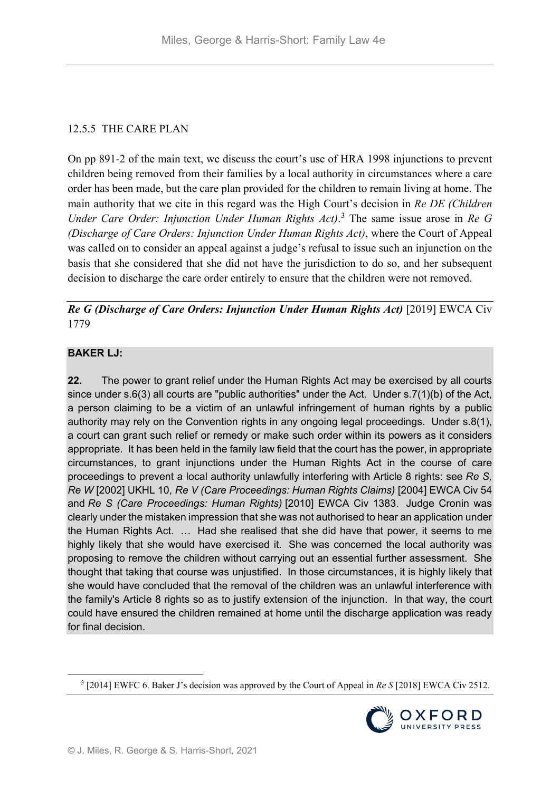# 12.5.5 THE CARE PLAN

On pp 891-2 of the main text, we discuss the court's use of HRA 1998 injunctions to prevent children being removed from their families by a local authority in circumstances where a care order has been made, but the care plan provided for the children to remain living at home. The main authority that we cite in this regard was the High Court's decision in *Re DE (Children Under Care Order: Injunction Under Human Rights Act)*. [3](#page-5-0) The same issue arose in *Re G (Discharge of Care Orders: Injunction Under Human Rights Act)*, where the Court of Appeal was called on to consider an appeal against a judge's refusal to issue such an injunction on the basis that she considered that she did not have the jurisdiction to do so, and her subsequent decision to discharge the care order entirely to ensure that the children were not removed.

*Re G (Discharge of Care Orders: Injunction Under Human Rights Act)* [2019] EWCA Civ 1779

# **BAKER LJ:**

**22.** The power to grant relief under the Human Rights Act may be exercised by all courts since under s.6(3) all courts are "public authorities" under the Act. Under s.7(1)(b) of the Act, a person claiming to be a victim of an unlawful infringement of human rights by a public authority may rely on the Convention rights in any ongoing legal proceedings. Under s.8(1), a court can grant such relief or remedy or make such order within its powers as it considers appropriate. It has been held in the family law field that the court has the power, in appropriate circumstances, to grant injunctions under the Human Rights Act in the course of care proceedings to prevent a local authority unlawfully interfering with Article 8 rights: see *Re S, Re W* [2002] UKHL 10, *Re V (Care Proceedings: Human Rights Claims)* [2004] EWCA Civ 54 and *Re S (Care Proceedings: Human Rights)* [2010] EWCA Civ 1383. Judge Cronin was clearly under the mistaken impression that she was not authorised to hear an application under the Human Rights Act. … Had she realised that she did have that power, it seems to me highly likely that she would have exercised it. She was concerned the local authority was proposing to remove the children without carrying out an essential further assessment. She thought that taking that course was unjustified. In those circumstances, it is highly likely that she would have concluded that the removal of the children was an unlawful interference with the family's Article 8 rights so as to justify extension of the injunction. In that way, the court could have ensured the children remained at home until the discharge application was ready for final decision.

<span id="page-5-0"></span> <sup>3</sup> [2014] EWFC 6. Baker J's decision was approved by the Court of Appeal in *Re S* [2018] EWCA Civ 2512.

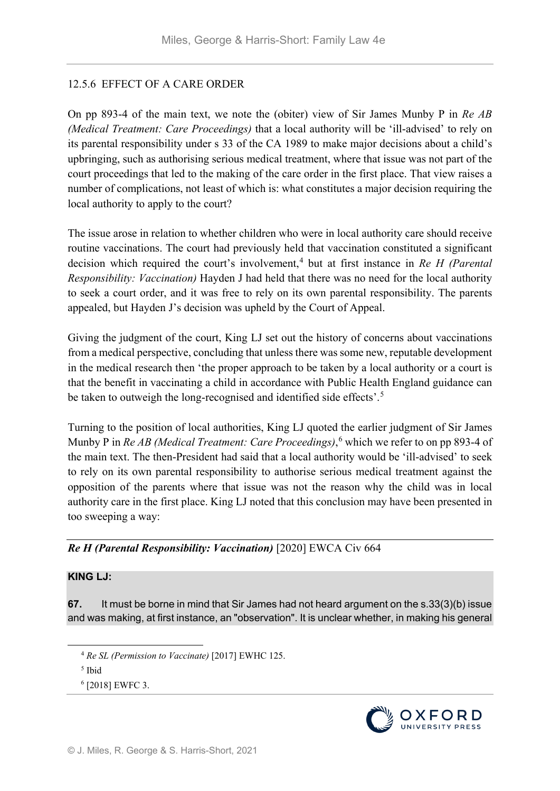# 12.5.6 EFFECT OF A CARE ORDER

On pp 893-4 of the main text, we note the (obiter) view of Sir James Munby P in *Re AB (Medical Treatment: Care Proceedings)* that a local authority will be 'ill-advised' to rely on its parental responsibility under s 33 of the CA 1989 to make major decisions about a child's upbringing, such as authorising serious medical treatment, where that issue was not part of the court proceedings that led to the making of the care order in the first place. That view raises a number of complications, not least of which is: what constitutes a major decision requiring the local authority to apply to the court?

The issue arose in relation to whether children who were in local authority care should receive routine vaccinations. The court had previously held that vaccination constituted a significant decision which required the court's involvement,<sup>[4](#page-6-0)</sup> but at first instance in *Re H (Parental*) *Responsibility: Vaccination)* Hayden J had held that there was no need for the local authority to seek a court order, and it was free to rely on its own parental responsibility. The parents appealed, but Hayden J's decision was upheld by the Court of Appeal.

Giving the judgment of the court, King LJ set out the history of concerns about vaccinations from a medical perspective, concluding that unless there was some new, reputable development in the medical research then 'the proper approach to be taken by a local authority or a court is that the benefit in vaccinating a child in accordance with Public Health England guidance can be taken to outweigh the long-recognised and identified side effects'.<sup>[5](#page-6-1)</sup>

Turning to the position of local authorities, King LJ quoted the earlier judgment of Sir James Munby P in *Re AB (Medical Treatment: Care Proceedings)*, [6](#page-6-2) which we refer to on pp 893-4 of the main text. The then-President had said that a local authority would be 'ill-advised' to seek to rely on its own parental responsibility to authorise serious medical treatment against the opposition of the parents where that issue was not the reason why the child was in local authority care in the first place. King LJ noted that this conclusion may have been presented in too sweeping a way:

# *Re H (Parental Responsibility: Vaccination)* [2020] EWCA Civ 664

### **KING LJ:**

**67.** It must be borne in mind that Sir James had not heard argument on the s.33(3)(b) issue and was making, at first instance, an "observation". It is unclear whether, in making his general



<span id="page-6-0"></span> <sup>4</sup> *Re SL (Permission to Vaccinate)* [2017] EWHC 125.

<span id="page-6-1"></span><sup>5</sup> Ibid

<span id="page-6-2"></span><sup>6</sup> [2018] EWFC 3.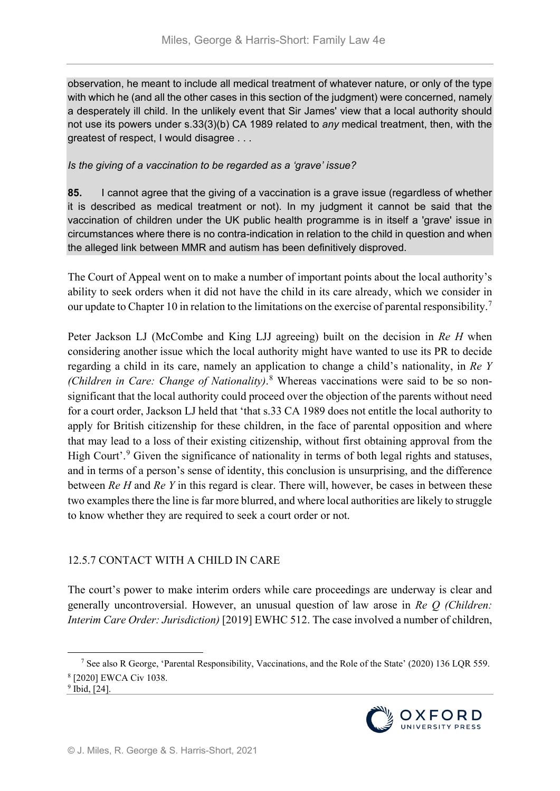observation, he meant to include all medical treatment of whatever nature, or only of the type with which he (and all the other cases in this section of the judgment) were concerned, namely a desperately ill child. In the unlikely event that Sir James' view that a local authority should not use its powers under s.33(3)(b) CA 1989 related to *any* medical treatment, then, with the greatest of respect, I would disagree . . .

*Is the giving of a vaccination to be regarded as a 'grave' issue?*

**85.** I cannot agree that the giving of a vaccination is a grave issue (regardless of whether it is described as medical treatment or not). In my judgment it cannot be said that the vaccination of children under the UK public health programme is in itself a 'grave' issue in circumstances where there is no contra-indication in relation to the child in question and when the alleged link between MMR and autism has been definitively disproved.

The Court of Appeal went on to make a number of important points about the local authority's ability to seek orders when it did not have the child in its care already, which we consider in our update to Chapter 10 in relation to the limitations on the exercise of parental responsibility.<sup>[7](#page-7-0)</sup>

Peter Jackson LJ (McCombe and King LJJ agreeing) built on the decision in *Re H* when considering another issue which the local authority might have wanted to use its PR to decide regarding a child in its care, namely an application to change a child's nationality, in *Re Y (Children in Care: Change of Nationality)*. [8](#page-7-1) Whereas vaccinations were said to be so nonsignificant that the local authority could proceed over the objection of the parents without need for a court order, Jackson LJ held that 'that s.33 CA 1989 does not entitle the local authority to apply for British citizenship for these children, in the face of parental opposition and where that may lead to a loss of their existing citizenship, without first obtaining approval from the High Court'.<sup>[9](#page-7-2)</sup> Given the significance of nationality in terms of both legal rights and statuses, and in terms of a person's sense of identity, this conclusion is unsurprising, and the difference between *Re H* and *Re Y* in this regard is clear. There will, however, be cases in between these two examples there the line is far more blurred, and where local authorities are likely to struggle to know whether they are required to seek a court order or not.

### 12.5.7 CONTACT WITH A CHILD IN CARE

The court's power to make interim orders while care proceedings are underway is clear and generally uncontroversial. However, an unusual question of law arose in *Re Q (Children: Interim Care Order: Jurisdiction)* [2019] EWHC 512. The case involved a number of children,



<span id="page-7-0"></span> <sup>7</sup> See also R George, 'Parental Responsibility, Vaccinations, and the Role of the State' (2020) 136 LQR 559. <sup>8</sup> [2020] EWCA Civ 1038.

<span id="page-7-2"></span><span id="page-7-1"></span> $9$  Ibid, [24].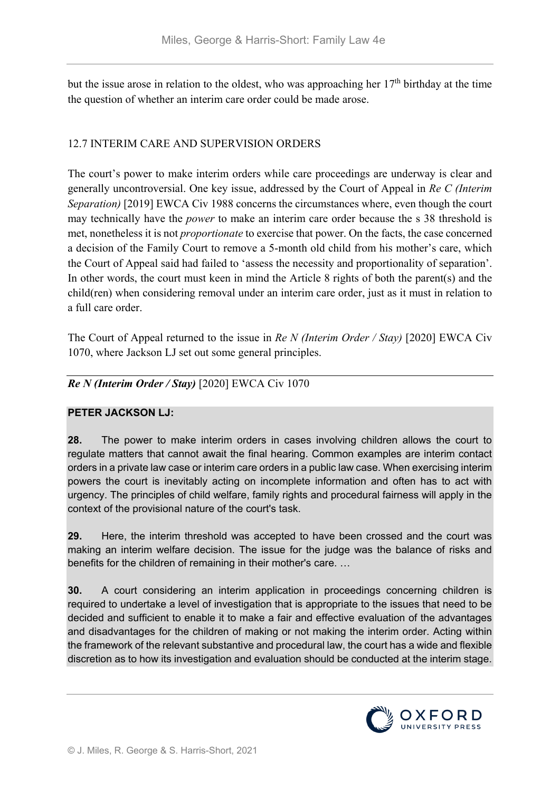but the issue arose in relation to the oldest, who was approaching her  $17<sup>th</sup>$  birthday at the time the question of whether an interim care order could be made arose.

# 12.7 INTERIM CARE AND SUPERVISION ORDERS

The court's power to make interim orders while care proceedings are underway is clear and generally uncontroversial. One key issue, addressed by the Court of Appeal in *Re C (Interim Separation)* [2019] EWCA Civ 1988 concerns the circumstances where, even though the court may technically have the *power* to make an interim care order because the s 38 threshold is met, nonetheless it is not *proportionate* to exercise that power. On the facts, the case concerned a decision of the Family Court to remove a 5-month old child from his mother's care, which the Court of Appeal said had failed to 'assess the necessity and proportionality of separation'. In other words, the court must keen in mind the Article 8 rights of both the parent(s) and the child(ren) when considering removal under an interim care order, just as it must in relation to a full care order.

The Court of Appeal returned to the issue in *Re N (Interim Order / Stay)* [2020] EWCA Civ 1070, where Jackson LJ set out some general principles.

### *Re N (Interim Order / Stay)* [2020] EWCA Civ 1070

### **PETER JACKSON LJ:**

**28.** The power to make interim orders in cases involving children allows the court to regulate matters that cannot await the final hearing. Common examples are interim contact orders in a private law case or interim care orders in a public law case. When exercising interim powers the court is inevitably acting on incomplete information and often has to act with urgency. The principles of child welfare, family rights and procedural fairness will apply in the context of the provisional nature of the court's task.

**29.** Here, the interim threshold was accepted to have been crossed and the court was making an interim welfare decision. The issue for the judge was the balance of risks and benefits for the children of remaining in their mother's care. …

**30.** A court considering an interim application in proceedings concerning children is required to undertake a level of investigation that is appropriate to the issues that need to be decided and sufficient to enable it to make a fair and effective evaluation of the advantages and disadvantages for the children of making or not making the interim order. Acting within the framework of the relevant substantive and procedural law, the court has a wide and flexible discretion as to how its investigation and evaluation should be conducted at the interim stage.

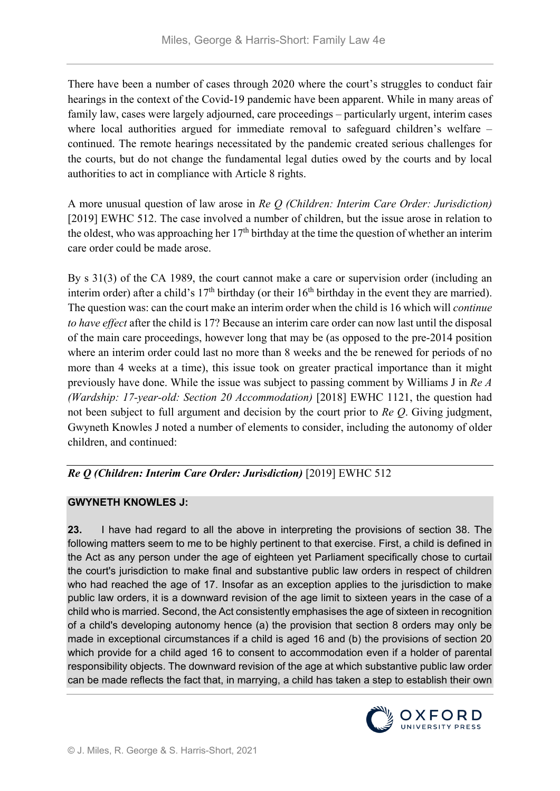There have been a number of cases through 2020 where the court's struggles to conduct fair hearings in the context of the Covid-19 pandemic have been apparent. While in many areas of family law, cases were largely adjourned, care proceedings – particularly urgent, interim cases where local authorities argued for immediate removal to safeguard children's welfare – continued. The remote hearings necessitated by the pandemic created serious challenges for the courts, but do not change the fundamental legal duties owed by the courts and by local authorities to act in compliance with Article 8 rights.

A more unusual question of law arose in *Re Q (Children: Interim Care Order: Jurisdiction)* [2019] EWHC 512. The case involved a number of children, but the issue arose in relation to the oldest, who was approaching her  $17<sup>th</sup>$  birthday at the time the question of whether an interim care order could be made arose.

By s 31(3) of the CA 1989, the court cannot make a care or supervision order (including an interim order) after a child's  $17<sup>th</sup>$  birthday (or their  $16<sup>th</sup>$  birthday in the event they are married). The question was: can the court make an interim order when the child is 16 which will *continue to have effect* after the child is 17? Because an interim care order can now last until the disposal of the main care proceedings, however long that may be (as opposed to the pre-2014 position where an interim order could last no more than 8 weeks and the be renewed for periods of no more than 4 weeks at a time), this issue took on greater practical importance than it might previously have done. While the issue was subject to passing comment by Williams J in *Re A (Wardship: 17-year-old: Section 20 Accommodation)* [2018] EWHC 1121, the question had not been subject to full argument and decision by the court prior to *Re Q*. Giving judgment, Gwyneth Knowles J noted a number of elements to consider, including the autonomy of older children, and continued:

*Re Q (Children: Interim Care Order: Jurisdiction)* [2019] EWHC 512

# **GWYNETH KNOWLES J:**

**23.** I have had regard to all the above in interpreting the provisions of section 38. The following matters seem to me to be highly pertinent to that exercise. First, a child is defined in the Act as any person under the age of eighteen yet Parliament specifically chose to curtail the court's jurisdiction to make final and substantive public law orders in respect of children who had reached the age of 17. Insofar as an exception applies to the jurisdiction to make public law orders, it is a downward revision of the age limit to sixteen years in the case of a child who is married. Second, the Act consistently emphasises the age of sixteen in recognition of a child's developing autonomy hence (a) the provision that section 8 orders may only be made in exceptional circumstances if a child is aged 16 and (b) the provisions of section 20 which provide for a child aged 16 to consent to accommodation even if a holder of parental responsibility objects. The downward revision of the age at which substantive public law order can be made reflects the fact that, in marrying, a child has taken a step to establish their own